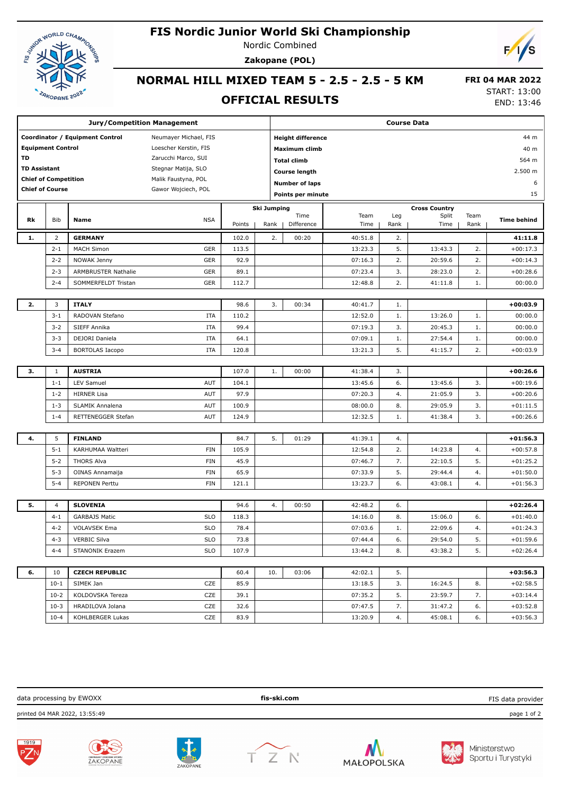# ASSISTENCE OF THE RESIST OF THE

## **FIS Nordic Junior World Ski Championship**

Nordic Combined **Zakopane (POL)**



### **NORMAL HILL MIXED TEAM 5 - 2.5 - 2.5 - 5 KM**

#### **OFFICIAL RESULTS**

 **FRI 04 MAR 2022** START: 13:00

END: 13:46

| <b>Jury/Competition Management</b> |                |                        |                          |               |                    | <b>Course Data</b>       |         |          |                               |          |                          |  |
|------------------------------------|----------------|------------------------|--------------------------|---------------|--------------------|--------------------------|---------|----------|-------------------------------|----------|--------------------------|--|
| Coordinator / Equipment Control    |                |                        | Neumayer Michael, FIS    |               |                    | <b>Height difference</b> |         | 44 m     |                               |          |                          |  |
| <b>Equipment Control</b>           |                |                        | Loescher Kerstin, FIS    |               |                    | <b>Maximum climb</b>     |         |          |                               |          | 40 m                     |  |
| TD                                 |                |                        | Zarucchi Marco, SUI      |               |                    | <b>Total climb</b>       |         |          |                               |          | 564 m                    |  |
| <b>TD Assistant</b>                |                |                        | Stegnar Matija, SLO      |               |                    | <b>Course length</b>     |         |          |                               |          | 2.500 m                  |  |
| <b>Chief of Competition</b>        |                |                        | Malik Faustyna, POL      |               |                    | <b>Number of laps</b>    |         |          |                               |          | 6                        |  |
| <b>Chief of Course</b>             |                | Gawor Wojciech, POL    |                          |               | Points per minute  |                          |         |          |                               | 15       |                          |  |
|                                    |                |                        |                          |               |                    |                          |         |          |                               |          |                          |  |
|                                    |                |                        |                          |               | <b>Ski Jumping</b> | Time                     | Team    | Leg      | <b>Cross Country</b><br>Split | Team     |                          |  |
| Rk                                 | Bib            | Name                   | <b>NSA</b>               | Points        | Rank               | Difference               | Time    | Rank     | Time                          | Rank     | <b>Time behind</b>       |  |
| 1.                                 | $\overline{2}$ | <b>GERMANY</b>         |                          | 102.0         | 2.                 | 00:20                    | 40:51.8 | 2.       |                               |          | 41:11.8                  |  |
|                                    | $2 - 1$        | <b>MACH Simon</b>      | <b>GER</b>               | 113.5         |                    |                          | 13:23.3 | 5.       | 13:43.3                       | 2.       | $+00:17.3$               |  |
|                                    | $2 - 2$        | NOWAK Jenny            | <b>GER</b>               | 92.9          |                    |                          | 07:16.3 | 2.       | 20:59.6                       | 2.       | $+00:14.3$               |  |
|                                    | $2 - 3$        | ARMBRUSTER Nathalie    | <b>GER</b>               | 89.1          |                    |                          | 07:23.4 | 3.       | 28:23.0                       | 2.       | $+00:28.6$               |  |
|                                    | $2 - 4$        | SOMMERFELDT Tristan    | <b>GER</b>               | 112.7         |                    |                          | 12:48.8 | 2.       | 41:11.8                       | 1.       | 00:00.0                  |  |
|                                    |                |                        |                          |               |                    |                          |         |          |                               |          |                          |  |
| 2.                                 | 3              | <b>ITALY</b>           |                          | 98.6          | 3.                 | 00:34                    | 40:41.7 | 1.       |                               |          | $+00:03.9$               |  |
|                                    | $3 - 1$        | RADOVAN Stefano        | <b>ITA</b>               | 110.2         |                    |                          | 12:52.0 | 1.       | 13:26.0                       | 1.       | 00:00.0                  |  |
|                                    | $3 - 2$        | SIEFF Annika           | <b>ITA</b>               | 99.4          |                    |                          | 07:19.3 | 3.       | 20:45.3                       | 1.       | 00:00.0                  |  |
|                                    | $3 - 3$        | DEJORI Daniela         | <b>ITA</b>               | 64.1          |                    |                          | 07:09.1 | 1.       | 27:54.4                       | 1.       | 00:00.0                  |  |
|                                    | $3 - 4$        | <b>BORTOLAS Iacopo</b> | <b>ITA</b>               | 120.8         |                    |                          | 13:21.3 | 5.       | 41:15.7                       | 2.       | $+00:03.9$               |  |
|                                    |                |                        |                          |               |                    |                          |         |          |                               |          |                          |  |
| 3.                                 | $\mathbf{1}$   | <b>AUSTRIA</b>         |                          | 107.0         | 1.                 | 00:00                    | 41:38.4 | 3.       |                               |          | $+00:26.6$               |  |
|                                    | $1 - 1$        | LEV Samuel             | <b>AUT</b>               | 104.1         |                    |                          | 13:45.6 | 6.       | 13:45.6                       | 3.       | $+00:19.6$               |  |
|                                    | $1 - 2$        | <b>HIRNER Lisa</b>     | <b>AUT</b>               | 97.9          |                    |                          | 07:20.3 | 4.       | 21:05.9                       | 3.       | $+00:20.6$               |  |
|                                    | $1 - 3$        | SLAMIK Annalena        | <b>AUT</b>               | 100.9         |                    |                          | 08:00.0 | 8.       | 29:05.9                       | 3.       | $+01:11.5$               |  |
|                                    | $1 - 4$        | RETTENEGGER Stefan     | <b>AUT</b>               | 124.9         |                    |                          | 12:32.5 | 1.       | 41:38.4                       | 3.       | $+00:26.6$               |  |
|                                    |                |                        |                          |               |                    |                          |         |          |                               |          |                          |  |
| 4.                                 | 5              | <b>FINLAND</b>         |                          | 84.7          | 5.                 | 01:29                    | 41:39.1 | 4.       |                               |          | $+01:56.3$               |  |
|                                    | $5 - 1$        | KARHUMAA Waltteri      | <b>FIN</b>               | 105.9         |                    |                          | 12:54.8 | 2.       | 14:23.8                       | 4.       | $+00:57.8$               |  |
|                                    | $5 - 2$        | <b>THORS Alva</b>      | <b>FIN</b>               | 45.9          |                    |                          | 07:46.7 | 7.       | 22:10.5                       | 5.       | $+01:25.2$               |  |
|                                    | $5 - 3$        | OINAS Annamaija        | <b>FIN</b>               | 65.9          |                    |                          | 07:33.9 | 5.       | 29:44.4                       | 4.       | $+01:50.0$               |  |
|                                    | $5 - 4$        | <b>REPONEN Perttu</b>  | <b>FIN</b>               | 121.1         |                    |                          | 13:23.7 | 6.       | 43:08.1                       | 4.       | $+01:56.3$               |  |
| 5.                                 | 4              | <b>SLOVENIA</b>        |                          | 94.6          | 4.                 | 00:50                    | 42:48.2 | 6.       |                               |          | $+02:26.4$               |  |
|                                    | $4 - 1$        | <b>GARBAJS Matic</b>   | <b>SLO</b>               | 118.3         |                    |                          | 14:16.0 | 8.       | 15:06.0                       | 6.       | $+01:40.0$               |  |
|                                    | $4 - 2$        | <b>VOLAVSEK Ema</b>    | <b>SLO</b>               | 78.4          |                    |                          | 07:03.6 |          | 22:09.6                       | 4.       | $+01:24.3$               |  |
|                                    |                |                        |                          |               |                    |                          |         | 1.       |                               |          |                          |  |
|                                    | $4 - 3$        | <b>VERBIC Silva</b>    | <b>SLO</b><br><b>SLO</b> | 73.8<br>107.9 |                    |                          | 07:44.4 | 6.<br>8. | 29:54.0<br>43:38.2            | 5.<br>5. | $+01:59.6$<br>$+02:26.4$ |  |
|                                    | $4 - 4$        | <b>STANONIK Erazem</b> |                          |               |                    |                          | 13:44.2 |          |                               |          |                          |  |
| 6.                                 | 10             | <b>CZECH REPUBLIC</b>  |                          | 60.4          | 10.                | 03:06                    | 42:02.1 | 5.       |                               |          | $+03:56.3$               |  |
|                                    | $10-1$         | SIMEK Jan              | CZE                      | 85.9          |                    |                          | 13:18.5 | 3.       | 16:24.5                       | 8.       | $+02:58.5$               |  |
|                                    | $10-2$         | KOLDOVSKA Tereza       | CZE                      | 39.1          |                    |                          | 07:35.2 | 5.       | 23:59.7                       | 7.       | $+03:14.4$               |  |
|                                    | $10-3$         | HRADILOVA Jolana       | CZE                      | 32.6          |                    |                          | 07:47.5 | 7.       | 31:47.2                       | 6.       | $+03:52.8$               |  |
|                                    | $10 - 4$       | KOHLBERGER Lukas       | CZE                      | 83.9          |                    |                          | 13:20.9 | 4.       | 45:08.1                       | 6.       | $+03:56.3$               |  |

data processing by EWOXX **fis-ski.com** printed 04 MAR 2022, 13:55:49 page 1 of 2 FIS data provider